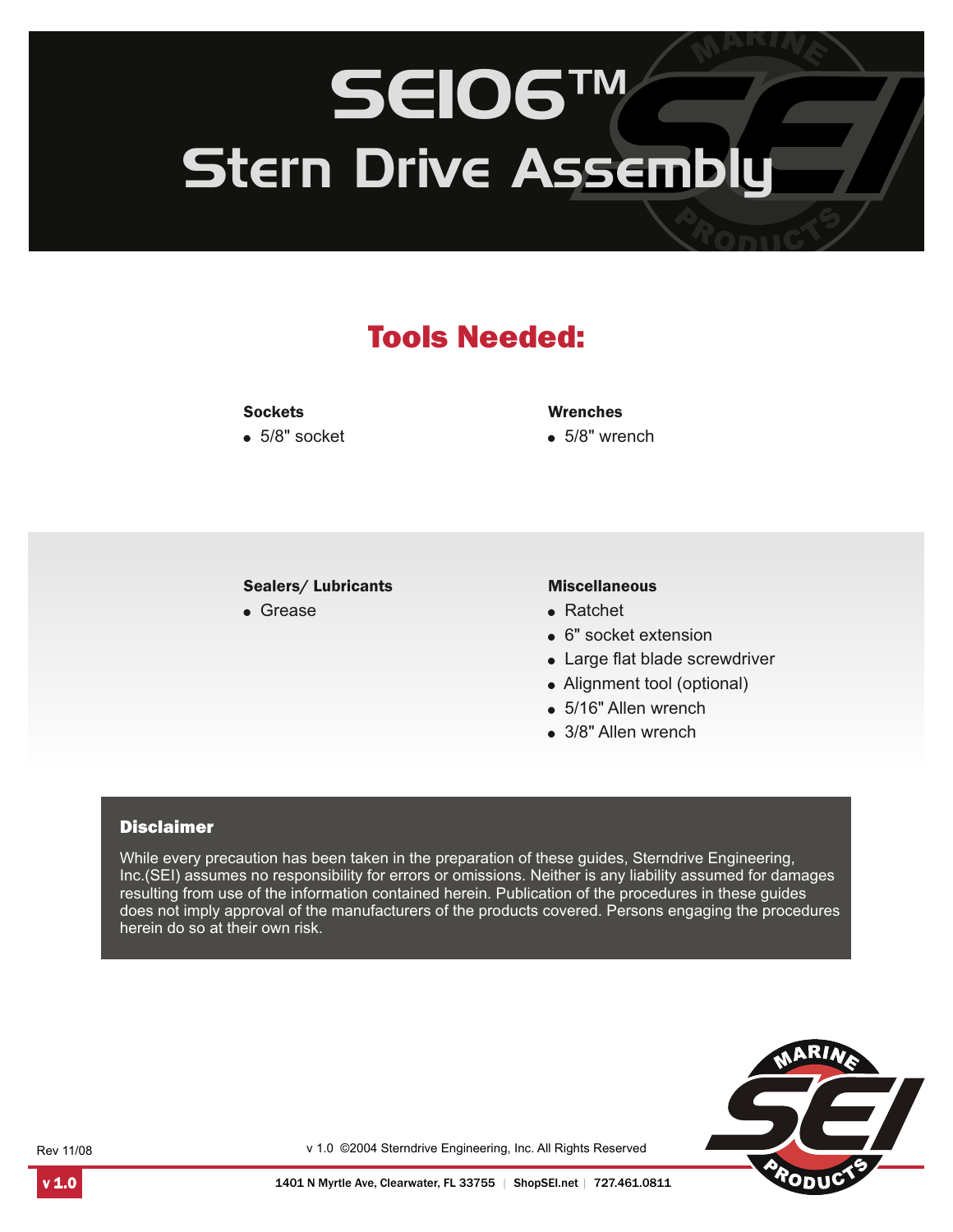# SEIO6™ Stern Drive Assembly

# Tools Needed:

#### **Sockets**

 $\bullet$  5/8" socket

#### Wrenches

 $\bullet$  5/8" wrench

#### Sealers/ Lubricants

• Grease

#### Miscellaneous

- ! Ratchet
- 6" socket extension
- Large flat blade screwdriver
- Alignment tool (optional)
- 5/16" Allen wrench
- 3/8" Allen wrench

#### **Disclaimer**

While every precaution has been taken in the preparation of these guides, Sterndrive Engineering, Inc.(SEI) assumes no responsibility for errors or omissions. Neither is any liability assumed for damages resulting from use of the information contained herein. Publication of the procedures in these guides does not imply approval of the manufacturers of the products covered. Persons engaging the procedures herein do so at their own risk.



Rev 11/08

v 1.0 ©2004 Sterndrive Engineering, Inc. All Rights Reserved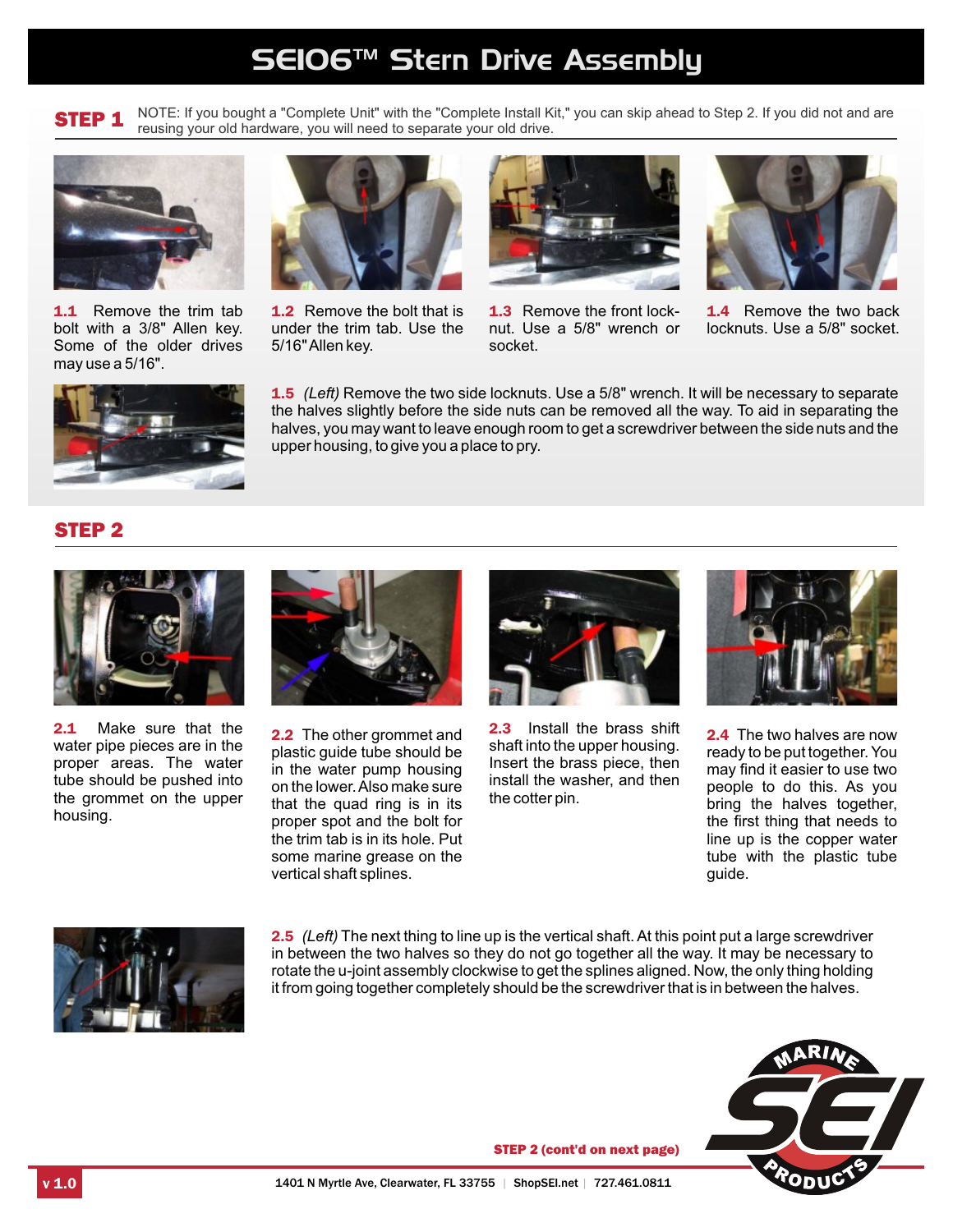## SEIO6™ Stern Drive Assembly

STEP 1

NOTE: If you bought a "Complete Unit" with the "Complete Install Kit," you can skip ahead to Step 2. If you did not and are reusing your old hardware, you will need to separate your old drive.



1.1 Remove the trim tab bolt with a 3/8" Allen key. Some of the older drives may use a 5/16".



1.2 Remove the bolt that is under the trim tab. Use the 5/16" Allen key.



1.3 Remove the front locknut. Use a 5/8" wrench or socket.



1.4 Remove the two back locknuts. Use a 5/8" socket.



1.5 *(Left)* Remove the two side locknuts. Use a 5/8" wrench. It will be necessary to separate the halves slightly before the side nuts can be removed all the way. To aid in separating the halves, you may want to leave enough room to get a screwdriver between the side nuts and the upper housing, to give you a place to pry.

### STEP 2



2.1 Make sure that the water pipe pieces are in the proper areas. The water tube should be pushed into the grommet on the upper housing.



2.2 The other grommet and plastic guide tube should be in the water pump housing on the lower. Also make sure that the quad ring is in its proper spot and the bolt for the trim tab is in its hole. Put some marine grease on the vertical shaft splines.



2.3 Install the brass shift shaft into the upper housing. Insert the brass piece, then install the washer, and then the cotter pin.



2.4 The two halves are now ready to be put together. You may find it easier to use two people to do this. As you bring the halves together, the first thing that needs to line up is the copper water tube with the plastic tube guide.



2.5 *(Left)* The next thing to line up is the vertical shaft. At this point put a large screwdriver in between the two halves so they do not go together all the way. It may be necessary to rotate the u-joint assembly clockwise to get the splines aligned. Now, the only thing holding it from going together completely should be the screwdriver that is in between the halves.



STEP 2 (cont'd on next page)